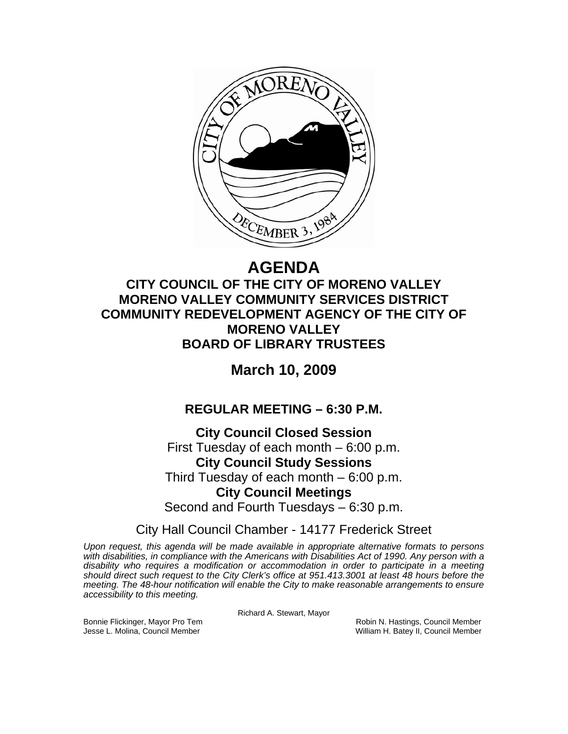

# **AGENDA**

## **CITY COUNCIL OF THE CITY OF MORENO VALLEY MORENO VALLEY COMMUNITY SERVICES DISTRICT COMMUNITY REDEVELOPMENT AGENCY OF THE CITY OF MORENO VALLEY BOARD OF LIBRARY TRUSTEES**

## **March 10, 2009**

## **REGULAR MEETING – 6:30 P.M.**

**City Council Closed Session**  First Tuesday of each month – 6:00 p.m. **City Council Study Sessions**  Third Tuesday of each month – 6:00 p.m. **City Council Meetings**  Second and Fourth Tuesdays – 6:30 p.m.

City Hall Council Chamber - 14177 Frederick Street

*Upon request, this agenda will be made available in appropriate alternative formats to persons with disabilities, in compliance with the Americans with Disabilities Act of 1990. Any person with a disability who requires a modification or accommodation in order to participate in a meeting should direct such request to the City Clerk's office at 951.413.3001 at least 48 hours before the meeting. The 48-hour notification will enable the City to make reasonable arrangements to ensure accessibility to this meeting.* 

Richard A. Stewart, Mayor

Bonnie Flickinger, Mayor Pro Tem **Robin Accommon Connect Accommon Robin N. Hastings, Council Member** Jesse L. Molina, Council Member William H. Batey II, Council Member William H. Batey II, Council Member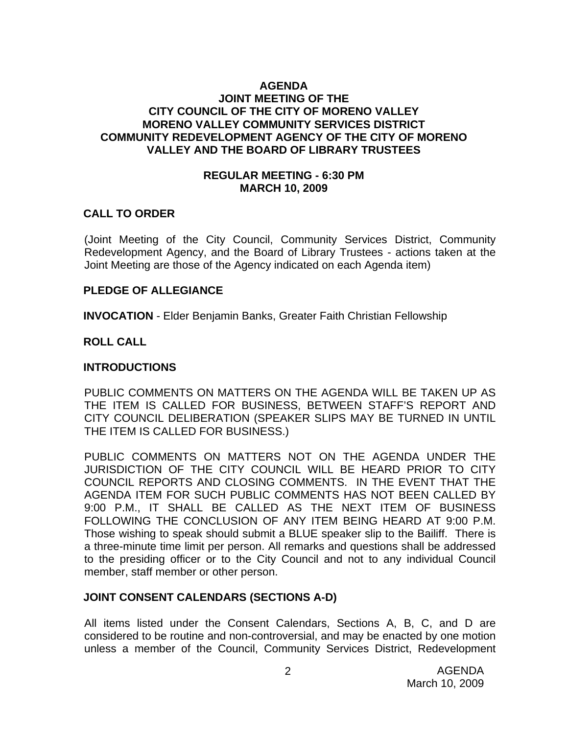#### **AGENDA JOINT MEETING OF THE CITY COUNCIL OF THE CITY OF MORENO VALLEY MORENO VALLEY COMMUNITY SERVICES DISTRICT COMMUNITY REDEVELOPMENT AGENCY OF THE CITY OF MORENO VALLEY AND THE BOARD OF LIBRARY TRUSTEES**

#### **REGULAR MEETING - 6:30 PM MARCH 10, 2009**

#### **CALL TO ORDER**

(Joint Meeting of the City Council, Community Services District, Community Redevelopment Agency, and the Board of Library Trustees - actions taken at the Joint Meeting are those of the Agency indicated on each Agenda item)

#### **PLEDGE OF ALLEGIANCE**

**INVOCATION** - Elder Benjamin Banks, Greater Faith Christian Fellowship

#### **ROLL CALL**

#### **INTRODUCTIONS**

PUBLIC COMMENTS ON MATTERS ON THE AGENDA WILL BE TAKEN UP AS THE ITEM IS CALLED FOR BUSINESS, BETWEEN STAFF'S REPORT AND CITY COUNCIL DELIBERATION (SPEAKER SLIPS MAY BE TURNED IN UNTIL THE ITEM IS CALLED FOR BUSINESS.)

PUBLIC COMMENTS ON MATTERS NOT ON THE AGENDA UNDER THE JURISDICTION OF THE CITY COUNCIL WILL BE HEARD PRIOR TO CITY COUNCIL REPORTS AND CLOSING COMMENTS. IN THE EVENT THAT THE AGENDA ITEM FOR SUCH PUBLIC COMMENTS HAS NOT BEEN CALLED BY 9:00 P.M., IT SHALL BE CALLED AS THE NEXT ITEM OF BUSINESS FOLLOWING THE CONCLUSION OF ANY ITEM BEING HEARD AT 9:00 P.M. Those wishing to speak should submit a BLUE speaker slip to the Bailiff. There is a three-minute time limit per person. All remarks and questions shall be addressed to the presiding officer or to the City Council and not to any individual Council member, staff member or other person.

#### **JOINT CONSENT CALENDARS (SECTIONS A-D)**

All items listed under the Consent Calendars, Sections A, B, C, and D are considered to be routine and non-controversial, and may be enacted by one motion unless a member of the Council, Community Services District, Redevelopment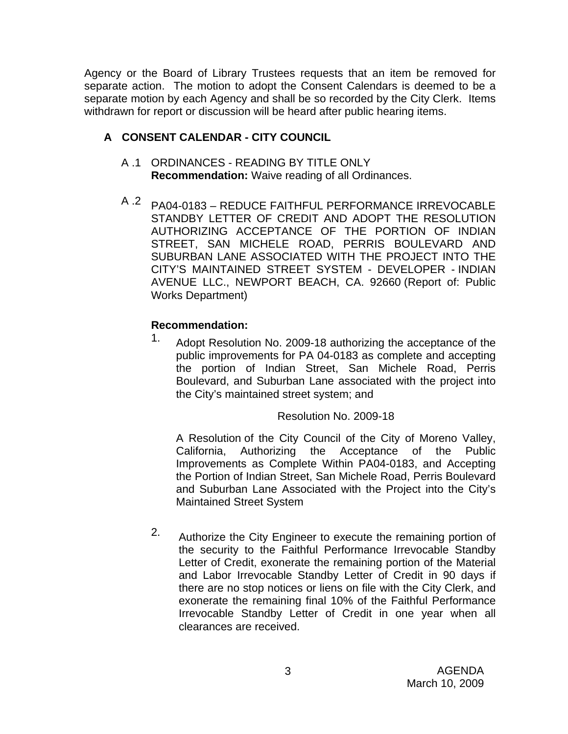Agency or the Board of Library Trustees requests that an item be removed for separate action. The motion to adopt the Consent Calendars is deemed to be a separate motion by each Agency and shall be so recorded by the City Clerk. Items withdrawn for report or discussion will be heard after public hearing items.

## **A CONSENT CALENDAR - CITY COUNCIL**

- A .1 ORDINANCES READING BY TITLE ONLY **Recommendation:** Waive reading of all Ordinances.
- A .2 PA04-0183 REDUCE FAITHFUL PERFORMANCE IRREVOCABLE STANDBY LETTER OF CREDIT AND ADOPT THE RESOLUTION AUTHORIZING ACCEPTANCE OF THE PORTION OF INDIAN STREET, SAN MICHELE ROAD, PERRIS BOULEVARD AND SUBURBAN LANE ASSOCIATED WITH THE PROJECT INTO THE CITY'S MAINTAINED STREET SYSTEM - DEVELOPER - INDIAN AVENUE LLC., NEWPORT BEACH, CA. 92660 (Report of: Public Works Department)

## **Recommendation:**

1. Adopt Resolution No. 2009-18 authorizing the acceptance of the public improvements for PA 04-0183 as complete and accepting the portion of Indian Street, San Michele Road, Perris Boulevard, and Suburban Lane associated with the project into the City's maintained street system; and

#### Resolution No. 2009-18

A Resolution of the City Council of the City of Moreno Valley, California, Authorizing the Acceptance of the Public Improvements as Complete Within PA04-0183, and Accepting the Portion of Indian Street, San Michele Road, Perris Boulevard and Suburban Lane Associated with the Project into the City's Maintained Street System

2. Authorize the City Engineer to execute the remaining portion of the security to the Faithful Performance Irrevocable Standby Letter of Credit, exonerate the remaining portion of the Material and Labor Irrevocable Standby Letter of Credit in 90 days if there are no stop notices or liens on file with the City Clerk, and exonerate the remaining final 10% of the Faithful Performance Irrevocable Standby Letter of Credit in one year when all clearances are received.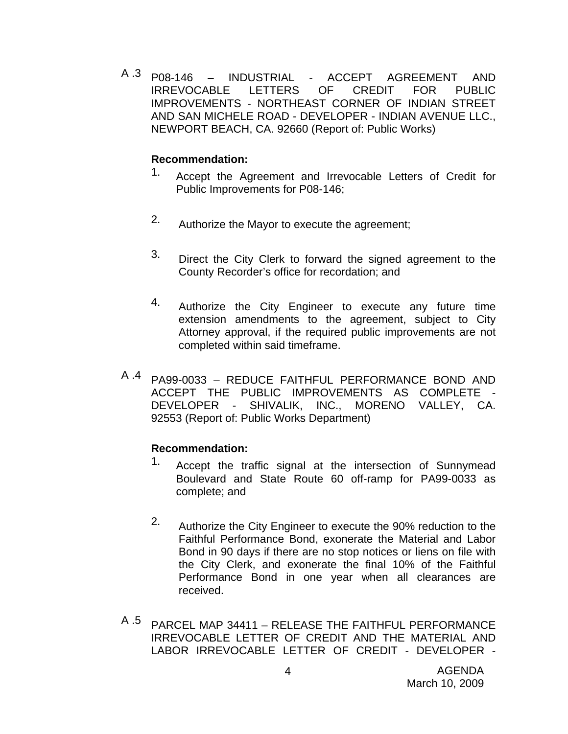A .3 P08-146 – INDUSTRIAL - ACCEPT AGREEMENT AND IRREVOCABLE LETTERS OF CREDIT FOR PUBLIC IMPROVEMENTS - NORTHEAST CORNER OF INDIAN STREET AND SAN MICHELE ROAD - DEVELOPER - INDIAN AVENUE LLC., NEWPORT BEACH, CA. 92660 (Report of: Public Works)

#### **Recommendation:**

- 1. Accept the Agreement and Irrevocable Letters of Credit for Public Improvements for P08-146;
- 2. Authorize the Mayor to execute the agreement;
- <sup>3.</sup> Direct the City Clerk to forward the signed agreement to the County Recorder's office for recordation; and
- 4. Authorize the City Engineer to execute any future time extension amendments to the agreement, subject to City Attorney approval, if the required public improvements are not completed within said timeframe.
- A .4 PA99-0033 REDUCE FAITHFUL PERFORMANCE BOND AND ACCEPT THE PUBLIC IMPROVEMENTS AS COMPLETE - DEVELOPER - SHIVALIK, INC., MORENO VALLEY, CA. 92553 (Report of: Public Works Department)

- <sup>1</sup>. Accept the traffic signal at the intersection of Sunnymead Boulevard and State Route 60 off-ramp for PA99-0033 as complete; and
- 2. Authorize the City Engineer to execute the 90% reduction to the Faithful Performance Bond, exonerate the Material and Labor Bond in 90 days if there are no stop notices or liens on file with the City Clerk, and exonerate the final 10% of the Faithful Performance Bond in one year when all clearances are received.
- A .5 PARCEL MAP 34411 RELEASE THE FAITHFUL PERFORMANCE IRREVOCABLE LETTER OF CREDIT AND THE MATERIAL AND LABOR IRREVOCABLE LETTER OF CREDIT - DEVELOPER -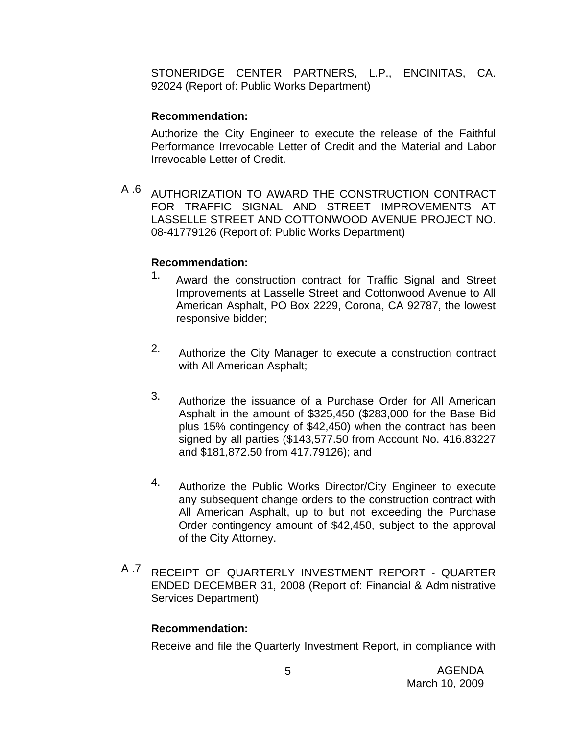STONERIDGE CENTER PARTNERS, L.P., ENCINITAS, CA. 92024 (Report of: Public Works Department)

#### **Recommendation:**

Authorize the City Engineer to execute the release of the Faithful Performance Irrevocable Letter of Credit and the Material and Labor Irrevocable Letter of Credit.

A .6 AUTHORIZATION TO AWARD THE CONSTRUCTION CONTRACT FOR TRAFFIC SIGNAL AND STREET IMPROVEMENTS AT LASSELLE STREET AND COTTONWOOD AVENUE PROJECT NO. 08-41779126 (Report of: Public Works Department)

#### **Recommendation:**

- <sup>1.</sup> Award the construction contract for Traffic Signal and Street Improvements at Lasselle Street and Cottonwood Avenue to All American Asphalt, PO Box 2229, Corona, CA 92787, the lowest responsive bidder;
- 2. Authorize the City Manager to execute a construction contract with All American Asphalt;
- 3. Authorize the issuance of a Purchase Order for All American Asphalt in the amount of \$325,450 (\$283,000 for the Base Bid plus 15% contingency of \$42,450) when the contract has been signed by all parties (\$143,577.50 from Account No. 416.83227 and \$181,872.50 from 417.79126); and
- 4. Authorize the Public Works Director/City Engineer to execute any subsequent change orders to the construction contract with All American Asphalt, up to but not exceeding the Purchase Order contingency amount of \$42,450, subject to the approval of the City Attorney.
- <sup>A .7</sup> RECEIPT OF QUARTERLY INVESTMENT REPORT QUARTER ENDED DECEMBER 31, 2008 (Report of: Financial & Administrative Services Department)

#### **Recommendation:**

Receive and file the Quarterly Investment Report, in compliance with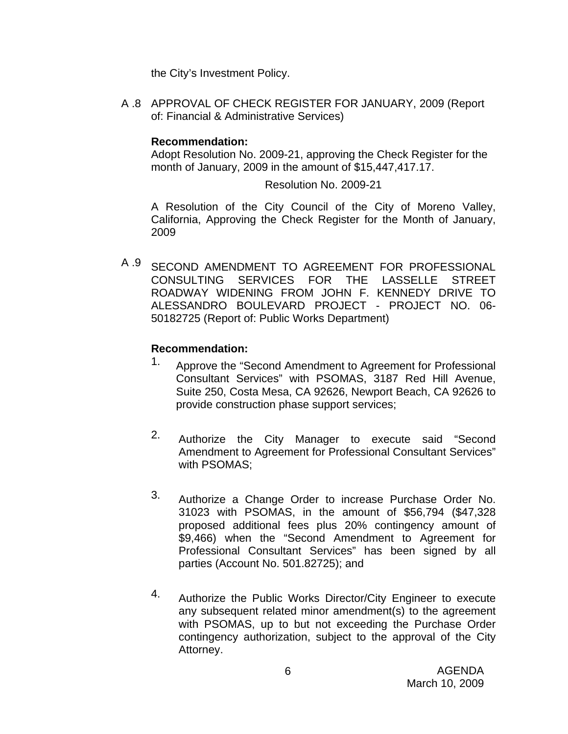the City's Investment Policy.

A .8 APPROVAL OF CHECK REGISTER FOR JANUARY, 2009 (Report of: Financial & Administrative Services)

#### **Recommendation:**

Adopt Resolution No. 2009-21, approving the Check Register for the month of January, 2009 in the amount of \$15,447,417.17.

Resolution No. 2009-21

A Resolution of the City Council of the City of Moreno Valley, California, Approving the Check Register for the Month of January, 2009

A .9 SECOND AMENDMENT TO AGREEMENT FOR PROFESSIONAL CONSULTING SERVICES FOR THE LASSELLE STREET ROADWAY WIDENING FROM JOHN F. KENNEDY DRIVE TO ALESSANDRO BOULEVARD PROJECT - PROJECT NO. 06- 50182725 (Report of: Public Works Department)

- 1. Approve the "Second Amendment to Agreement for Professional Consultant Services" with PSOMAS, 3187 Red Hill Avenue, Suite 250, Costa Mesa, CA 92626, Newport Beach, CA 92626 to provide construction phase support services;
- 2. Authorize the City Manager to execute said "Second Amendment to Agreement for Professional Consultant Services" with PSOMAS;
- 3. Authorize a Change Order to increase Purchase Order No. 31023 with PSOMAS, in the amount of \$56,794 (\$47,328 proposed additional fees plus 20% contingency amount of \$9,466) when the "Second Amendment to Agreement for Professional Consultant Services" has been signed by all parties (Account No. 501.82725); and
- 4. Authorize the Public Works Director/City Engineer to execute any subsequent related minor amendment(s) to the agreement with PSOMAS, up to but not exceeding the Purchase Order contingency authorization, subject to the approval of the City Attorney.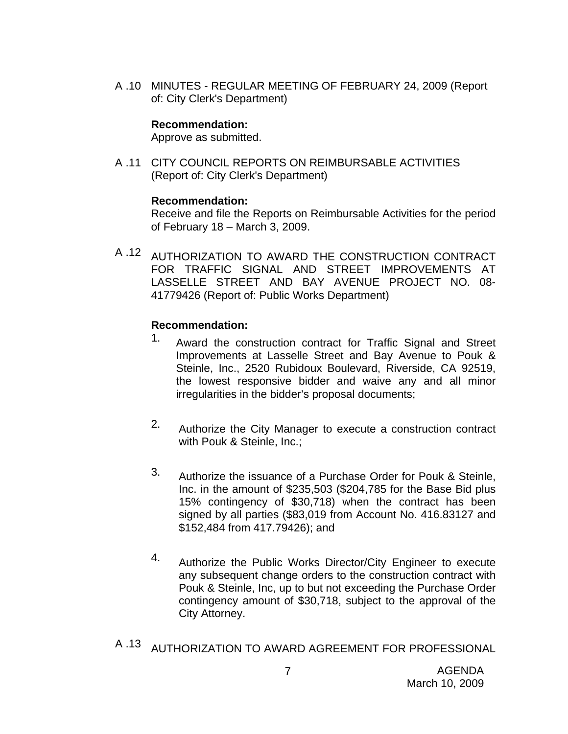A .10 MINUTES - REGULAR MEETING OF FEBRUARY 24, 2009 (Report of: City Clerk's Department)

#### **Recommendation:**

Approve as submitted.

A .11 CITY COUNCIL REPORTS ON REIMBURSABLE ACTIVITIES (Report of: City Clerk's Department)

#### **Recommendation:**

Receive and file the Reports on Reimbursable Activities for the period of February 18 – March 3, 2009.

A .12 AUTHORIZATION TO AWARD THE CONSTRUCTION CONTRACT FOR TRAFFIC SIGNAL AND STREET IMPROVEMENTS AT LASSELLE STREET AND BAY AVENUE PROJECT NO. 08- 41779426 (Report of: Public Works Department)

- 1. Award the construction contract for Traffic Signal and Street Improvements at Lasselle Street and Bay Avenue to Pouk & Steinle, Inc., 2520 Rubidoux Boulevard, Riverside, CA 92519, the lowest responsive bidder and waive any and all minor irregularities in the bidder's proposal documents;
- 2. Authorize the City Manager to execute a construction contract with Pouk & Steinle, Inc.;
- 3. Authorize the issuance of a Purchase Order for Pouk & Steinle, Inc. in the amount of \$235,503 (\$204,785 for the Base Bid plus 15% contingency of \$30,718) when the contract has been signed by all parties (\$83,019 from Account No. 416.83127 and \$152,484 from 417.79426); and
- 4. Authorize the Public Works Director/City Engineer to execute any subsequent change orders to the construction contract with Pouk & Steinle, Inc, up to but not exceeding the Purchase Order contingency amount of \$30,718, subject to the approval of the City Attorney.
- A .13 AUTHORIZATION TO AWARD AGREEMENT FOR PROFESSIONAL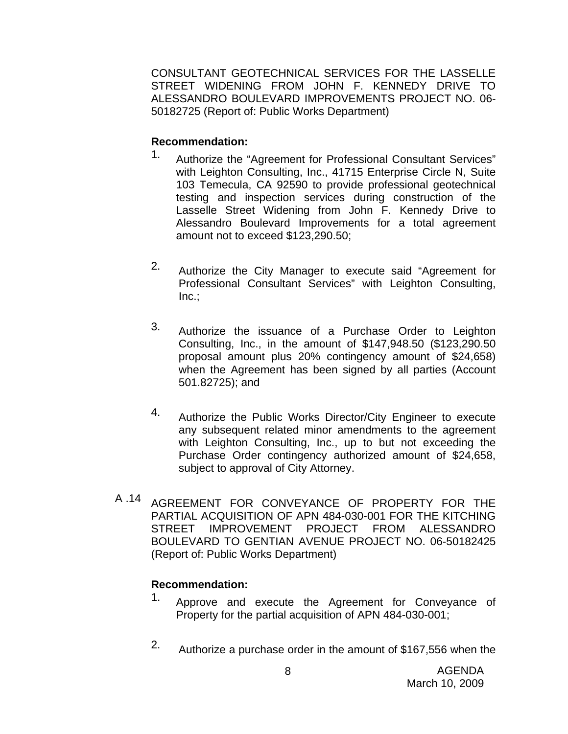CONSULTANT GEOTECHNICAL SERVICES FOR THE LASSELLE STREET WIDENING FROM JOHN F. KENNEDY DRIVE TO ALESSANDRO BOULEVARD IMPROVEMENTS PROJECT NO. 06- 50182725 (Report of: Public Works Department)

#### **Recommendation:**

- 1. Authorize the "Agreement for Professional Consultant Services" with Leighton Consulting, Inc., 41715 Enterprise Circle N, Suite 103 Temecula, CA 92590 to provide professional geotechnical testing and inspection services during construction of the Lasselle Street Widening from John F. Kennedy Drive to Alessandro Boulevard Improvements for a total agreement amount not to exceed \$123,290.50;
- 2. Authorize the City Manager to execute said "Agreement for Professional Consultant Services" with Leighton Consulting,  $Inc.:$
- 3. Authorize the issuance of a Purchase Order to Leighton Consulting, Inc., in the amount of \$147,948.50 (\$123,290.50 proposal amount plus 20% contingency amount of \$24,658) when the Agreement has been signed by all parties (Account 501.82725); and
- 4. Authorize the Public Works Director/City Engineer to execute any subsequent related minor amendments to the agreement with Leighton Consulting, Inc., up to but not exceeding the Purchase Order contingency authorized amount of \$24,658, subject to approval of City Attorney.
- A .14 AGREEMENT FOR CONVEYANCE OF PROPERTY FOR THE PARTIAL ACQUISITION OF APN 484-030-001 FOR THE KITCHING STREET IMPROVEMENT PROJECT FROM ALESSANDRO BOULEVARD TO GENTIAN AVENUE PROJECT NO. 06-50182425 (Report of: Public Works Department)

- <sup>1.</sup> Approve and execute the Agreement for Conveyance of Property for the partial acquisition of APN 484-030-001;
- 2. Authorize a purchase order in the amount of \$167,556 when the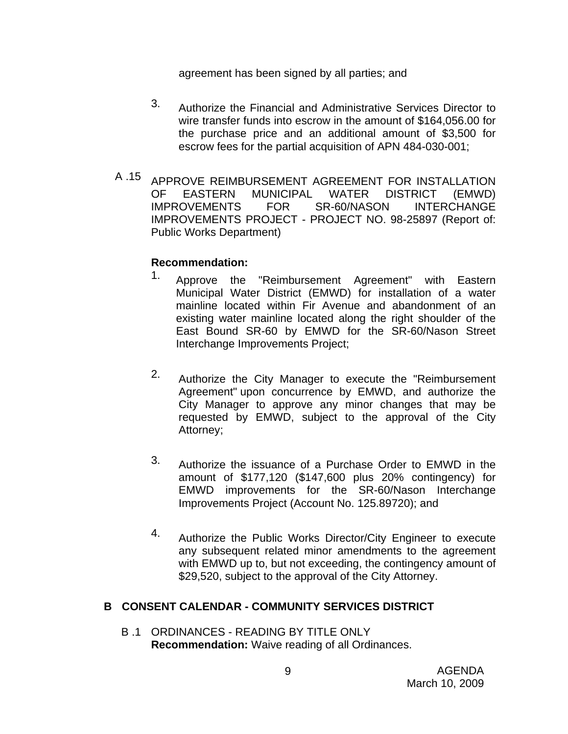agreement has been signed by all parties; and

- 3. Authorize the Financial and Administrative Services Director to wire transfer funds into escrow in the amount of \$164,056.00 for the purchase price and an additional amount of \$3,500 for escrow fees for the partial acquisition of APN 484-030-001;
- A .15 APPROVE REIMBURSEMENT AGREEMENT FOR INSTALLATION OF EASTERN MUNICIPAL WATER DISTRICT (EMWD) IMPROVEMENTS FOR SR-60/NASON INTERCHANGE IMPROVEMENTS PROJECT - PROJECT NO. 98-25897 (Report of: Public Works Department)

#### **Recommendation:**

- 1. Approve the "Reimbursement Agreement" with Eastern Municipal Water District (EMWD) for installation of a water mainline located within Fir Avenue and abandonment of an existing water mainline located along the right shoulder of the East Bound SR-60 by EMWD for the SR-60/Nason Street Interchange Improvements Project;
- 2. Authorize the City Manager to execute the "Reimbursement Agreement" upon concurrence by EMWD, and authorize the City Manager to approve any minor changes that may be requested by EMWD, subject to the approval of the City Attorney;
- 3. Authorize the issuance of a Purchase Order to EMWD in the amount of \$177,120 (\$147,600 plus 20% contingency) for EMWD improvements for the SR-60/Nason Interchange Improvements Project (Account No. 125.89720); and
- 4. Authorize the Public Works Director/City Engineer to execute any subsequent related minor amendments to the agreement with EMWD up to, but not exceeding, the contingency amount of \$29,520, subject to the approval of the City Attorney.

#### **B CONSENT CALENDAR - COMMUNITY SERVICES DISTRICT**

B .1 ORDINANCES - READING BY TITLE ONLY **Recommendation:** Waive reading of all Ordinances.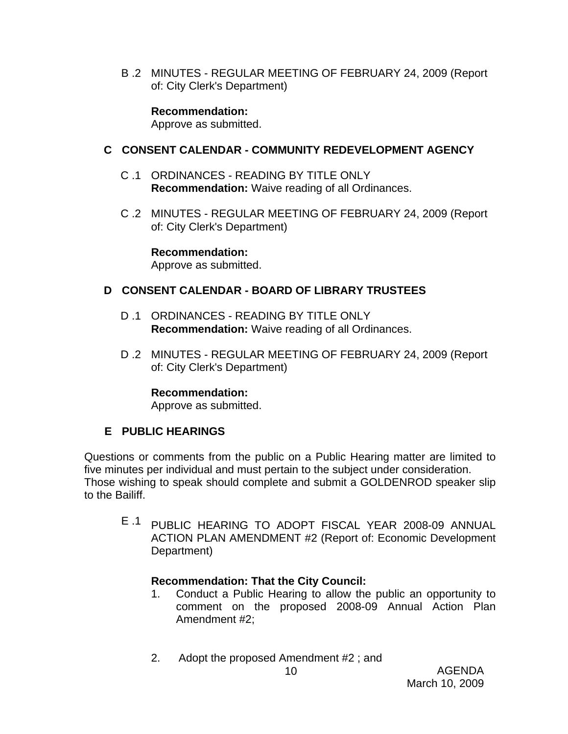B .2 MINUTES - REGULAR MEETING OF FEBRUARY 24, 2009 (Report of: City Clerk's Department)

**Recommendation:** 

Approve as submitted.

## **C CONSENT CALENDAR - COMMUNITY REDEVELOPMENT AGENCY**

- C .1 ORDINANCES READING BY TITLE ONLY **Recommendation:** Waive reading of all Ordinances.
- C .2 MINUTES REGULAR MEETING OF FEBRUARY 24, 2009 (Report of: City Clerk's Department)

**Recommendation:**  Approve as submitted.

## **D CONSENT CALENDAR - BOARD OF LIBRARY TRUSTEES**

- D .1 ORDINANCES READING BY TITLE ONLY **Recommendation:** Waive reading of all Ordinances.
- D .2 MINUTES REGULAR MEETING OF FEBRUARY 24, 2009 (Report of: City Clerk's Department)

#### **Recommendation:**

Approve as submitted.

## **E PUBLIC HEARINGS**

Questions or comments from the public on a Public Hearing matter are limited to five minutes per individual and must pertain to the subject under consideration. Those wishing to speak should complete and submit a GOLDENROD speaker slip to the Bailiff.

E .1 PUBLIC HEARING TO ADOPT FISCAL YEAR 2008-09 ANNUAL ACTION PLAN AMENDMENT #2 (Report of: Economic Development Department)

#### **Recommendation: That the City Council:**

- 1. Conduct a Public Hearing to allow the public an opportunity to comment on the proposed 2008-09 Annual Action Plan Amendment #2;
- 2. Adopt the proposed Amendment #2 ; and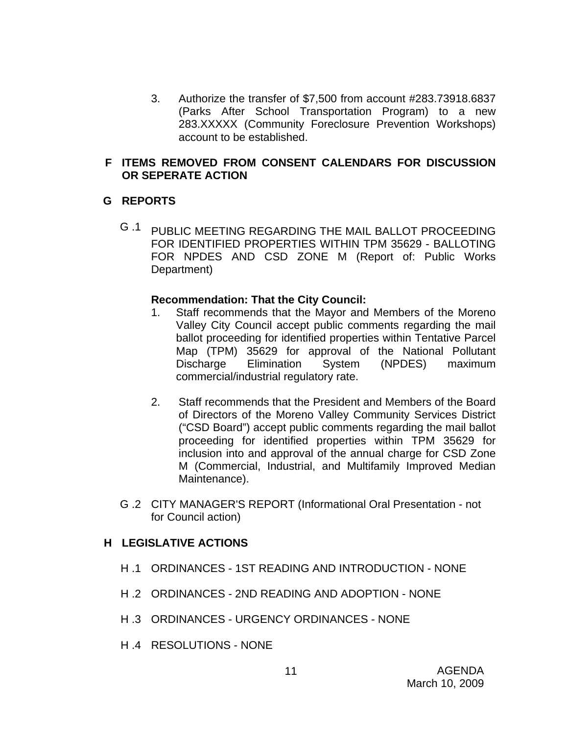3. Authorize the transfer of \$7,500 from account #283.73918.6837 (Parks After School Transportation Program) to a new 283.XXXXX (Community Foreclosure Prevention Workshops) account to be established.

#### **F ITEMS REMOVED FROM CONSENT CALENDARS FOR DISCUSSION OR SEPERATE ACTION**

#### **G REPORTS**

G .1 PUBLIC MEETING REGARDING THE MAIL BALLOT PROCEEDING FOR IDENTIFIED PROPERTIES WITHIN TPM 35629 - BALLOTING FOR NPDES AND CSD ZONE M (Report of: Public Works Department)

#### **Recommendation: That the City Council:**

- 1. Staff recommends that the Mayor and Members of the Moreno Valley City Council accept public comments regarding the mail ballot proceeding for identified properties within Tentative Parcel Map (TPM) 35629 for approval of the National Pollutant Discharge Elimination System (NPDES) maximum commercial/industrial regulatory rate.
- 2. Staff recommends that the President and Members of the Board of Directors of the Moreno Valley Community Services District ("CSD Board") accept public comments regarding the mail ballot proceeding for identified properties within TPM 35629 for inclusion into and approval of the annual charge for CSD Zone M (Commercial, Industrial, and Multifamily Improved Median Maintenance).
- G .2 CITY MANAGER'S REPORT (Informational Oral Presentation not for Council action)

#### **H LEGISLATIVE ACTIONS**

- H .1 ORDINANCES 1ST READING AND INTRODUCTION NONE
- H .2 ORDINANCES 2ND READING AND ADOPTION NONE
- H .3 ORDINANCES URGENCY ORDINANCES NONE
- H .4 RESOLUTIONS NONE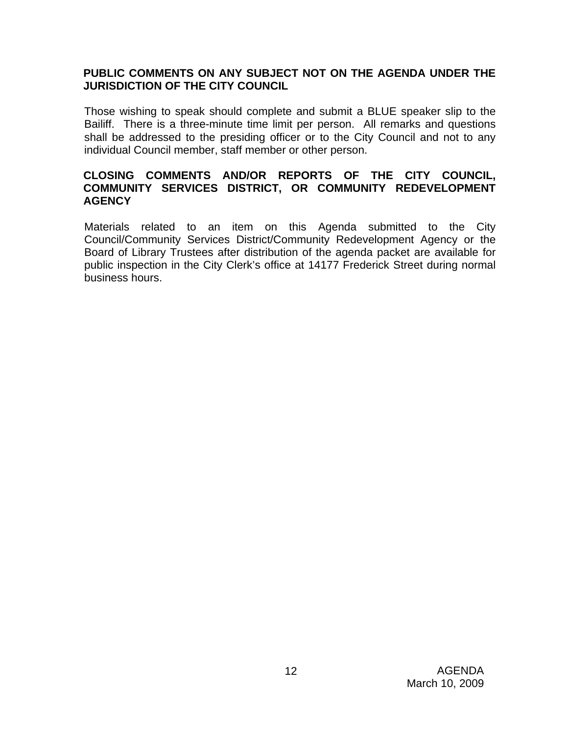#### **PUBLIC COMMENTS ON ANY SUBJECT NOT ON THE AGENDA UNDER THE JURISDICTION OF THE CITY COUNCIL**

Those wishing to speak should complete and submit a BLUE speaker slip to the Bailiff. There is a three-minute time limit per person. All remarks and questions shall be addressed to the presiding officer or to the City Council and not to any individual Council member, staff member or other person.

#### **CLOSING COMMENTS AND/OR REPORTS OF THE CITY COUNCIL, COMMUNITY SERVICES DISTRICT, OR COMMUNITY REDEVELOPMENT AGENCY**

Materials related to an item on this Agenda submitted to the City Council/Community Services District/Community Redevelopment Agency or the Board of Library Trustees after distribution of the agenda packet are available for public inspection in the City Clerk's office at 14177 Frederick Street during normal business hours.